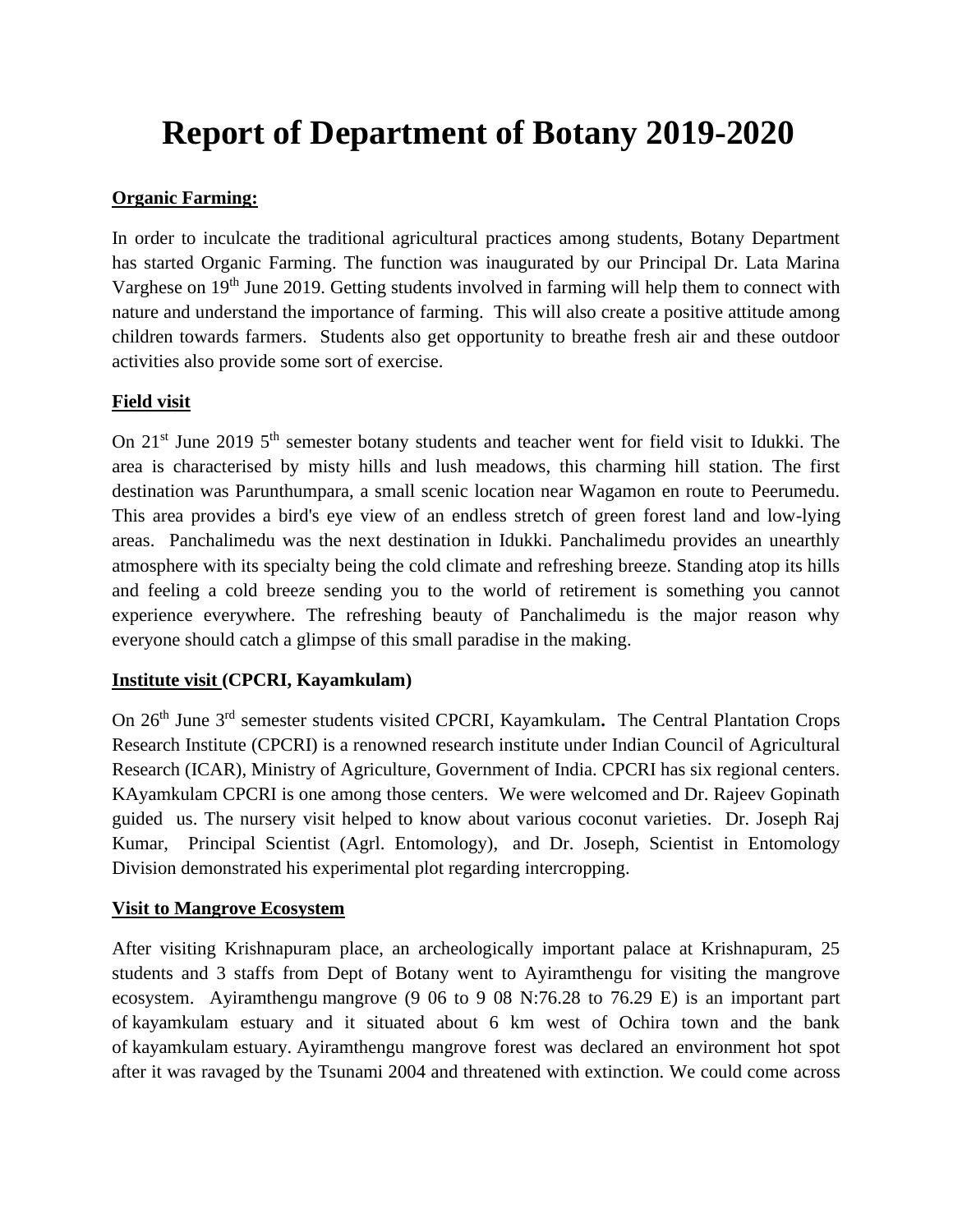# **Report of Department of Botany 2019-2020**

# **Organic Farming:**

In order to inculcate the traditional agricultural practices among students, Botany Department has started Organic Farming. The function was inaugurated by our Principal Dr. Lata Marina Varghese on 19<sup>th</sup> June 2019. Getting students involved in farming will help them to connect with nature and understand the importance of farming. This will also create a positive attitude among children towards farmers. Students also get opportunity to breathe fresh air and these outdoor activities also provide some sort of exercise.

## **Field visit**

On 21<sup>st</sup> June 2019 5<sup>th</sup> semester botany students and teacher went for field visit to Idukki. The area is characterised by misty hills and lush meadows, this charming hill station. The first destination was Parunthumpara, a small scenic location near Wagamon en route to Peerumedu. This area provides a bird's eye view of an endless stretch of green forest land and low-lying areas. Panchalimedu was the next destination in Idukki. Panchalimedu provides an unearthly atmosphere with its specialty being the cold climate and refreshing breeze. Standing atop its hills and feeling a cold breeze sending you to the world of retirement is something you cannot experience everywhere. The refreshing beauty of Panchalimedu is the major reason why everyone should catch a glimpse of this small paradise in the making.

# **Institute visit (CPCRI, Kayamkulam)**

On 26th June 3rd semester students visited CPCRI, Kayamkulam**.** The Central Plantation Crops Research Institute (CPCRI) is a renowned research institute under Indian Council of Agricultural Research (ICAR), Ministry of Agriculture, Government of India. CPCRI has six regional centers. KAyamkulam CPCRI is one among those centers. We were welcomed and Dr. Rajeev Gopinath guided us. The nursery visit helped to know about various coconut varieties. Dr. Joseph Raj Kumar, Principal Scientist (Agrl. Entomology), and Dr. Joseph, Scientist in Entomology Division demonstrated his experimental plot regarding intercropping.

## **Visit to Mangrove Ecosystem**

After visiting Krishnapuram place, an archeologically important palace at Krishnapuram, 25 students and 3 staffs from Dept of Botany went to Ayiramthengu for visiting the mangrove ecosystem. Ayiramthengu mangrove (9 06 to 9 08 N:76.28 to 76.29 E) is an important part of kayamkulam estuary and it situated about 6 km west of Ochira town and the bank of kayamkulam estuary. Ayiramthengu mangrove forest was declared an environment hot spot after it was ravaged by the Tsunami 2004 and threatened with extinction. We could come across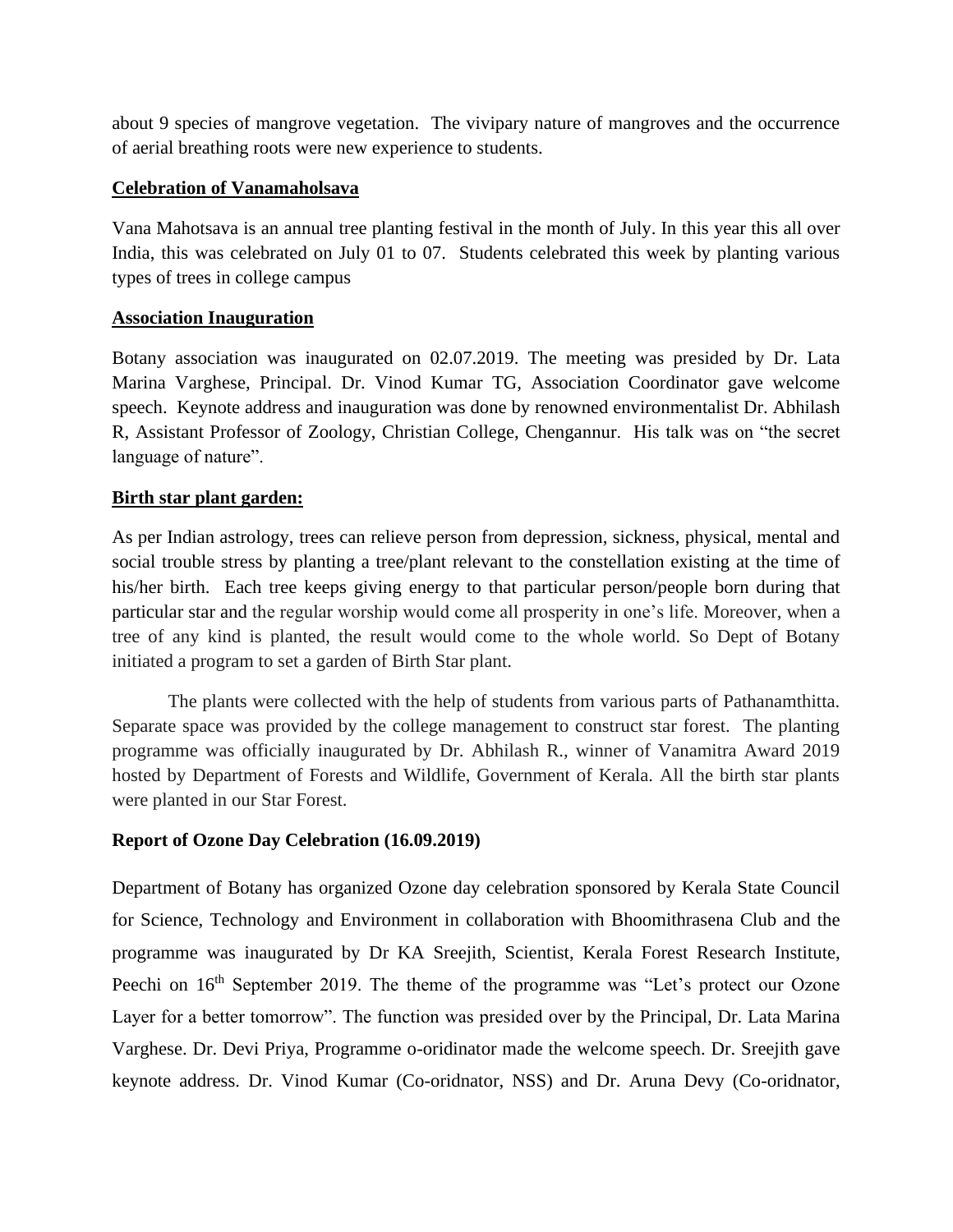about 9 species of mangrove vegetation. The vivipary nature of mangroves and the occurrence of aerial breathing roots were new experience to students.

## **Celebration of Vanamaholsava**

Vana Mahotsava is an annual tree planting festival in the month of July. In this year this all over India, this was celebrated on July 01 to 07. Students celebrated this week by planting various types of trees in college campus

### **Association Inauguration**

Botany association was inaugurated on 02.07.2019. The meeting was presided by Dr. Lata Marina Varghese, Principal. Dr. Vinod Kumar TG, Association Coordinator gave welcome speech. Keynote address and inauguration was done by renowned environmentalist Dr. Abhilash R, Assistant Professor of Zoology, Christian College, Chengannur. His talk was on "the secret language of nature".

### **Birth star plant garden:**

As per Indian astrology, trees can relieve person from depression, sickness, physical, mental and social trouble stress by planting a tree/plant relevant to the constellation existing at the time of his/her birth. Each tree keeps giving energy to that particular person/people born during that particular star and the regular worship would come all prosperity in one's life. Moreover, when a tree of any kind is planted, the result would come to the whole world. So Dept of Botany initiated a program to set a garden of Birth Star plant.

The plants were collected with the help of students from various parts of Pathanamthitta. Separate space was provided by the college management to construct star forest. The planting programme was officially inaugurated by Dr. Abhilash R., winner of Vanamitra Award 2019 hosted by Department of Forests and Wildlife, Government of Kerala. All the birth star plants were planted in our Star Forest.

## **Report of Ozone Day Celebration (16.09.2019)**

Department of Botany has organized Ozone day celebration sponsored by Kerala State Council for Science, Technology and Environment in collaboration with Bhoomithrasena Club and the programme was inaugurated by Dr KA Sreejith, Scientist, Kerala Forest Research Institute, Peechi on 16<sup>th</sup> September 2019. The theme of the programme was "Let's protect our Ozone Layer for a better tomorrow". The function was presided over by the Principal, Dr. Lata Marina Varghese. Dr. Devi Priya, Programme o-oridinator made the welcome speech. Dr. Sreejith gave keynote address. Dr. Vinod Kumar (Co-oridnator, NSS) and Dr. Aruna Devy (Co-oridnator,